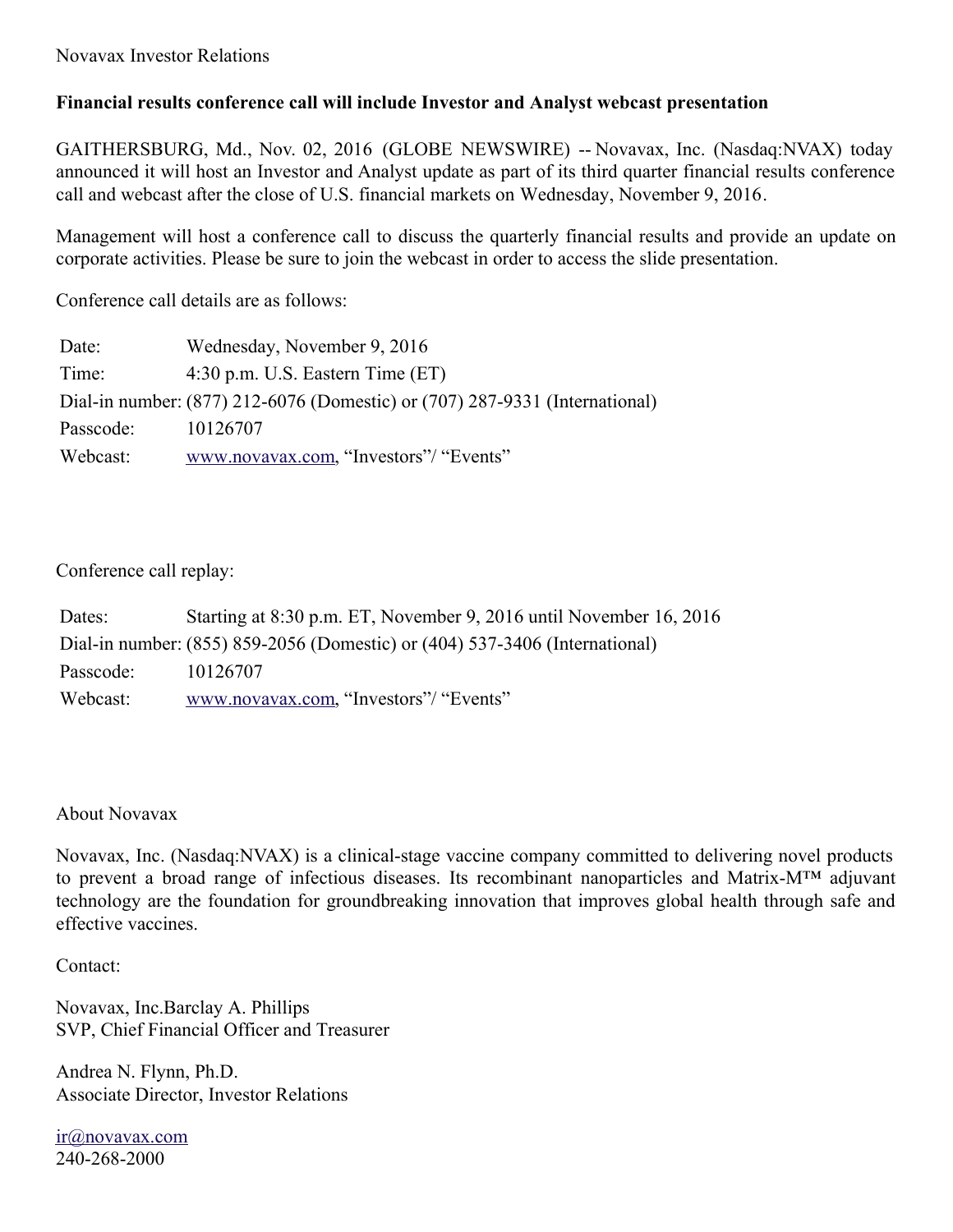## **Financial results conference call will include Investor and Analyst webcast presentation**

GAITHERSBURG, Md., Nov. 02, 2016 (GLOBE NEWSWIRE) -- Novavax, Inc. (Nasdaq:NVAX) today announced it will host an Investor and Analyst update as part of its third quarter financial results conference call and webcast after the close of U.S. financial markets on Wednesday, November 9, 2016.

Management will host a conference call to discuss the quarterly financial results and provide an update on corporate activities. Please be sure to join the webcast in order to access the slide presentation.

Conference call details are as follows:

| Date:     | Wednesday, November 9, 2016                                                 |
|-----------|-----------------------------------------------------------------------------|
| Time:     | $4:30$ p.m. U.S. Eastern Time $(ET)$                                        |
|           | Dial-in number: (877) 212-6076 (Domestic) or (707) 287-9331 (International) |
| Passcode: | 10126707                                                                    |
| Webcast:  | www.novavax.com, "Investors"/ "Events"                                      |

## Conference call replay:

| Dates:    | Starting at 8:30 p.m. ET, November 9, 2016 until November 16, 2016          |
|-----------|-----------------------------------------------------------------------------|
|           | Dial-in number: (855) 859-2056 (Domestic) or (404) 537-3406 (International) |
| Passcode: | 10126707                                                                    |
| Webcast:  | www.novavax.com, "Investors"/ "Events"                                      |

## About Novavax

Novavax, Inc. (Nasdaq:NVAX) is a clinical-stage vaccine company committed to delivering novel products to prevent a broad range of infectious diseases. Its recombinant nanoparticles and Matrix-M™ adjuvant technology are the foundation for groundbreaking innovation that improves global health through safe and effective vaccines.

Contact:

Novavax, Inc.Barclay A. Phillips SVP, Chief Financial Officer and Treasurer

Andrea N. Flynn, Ph.D. Associate Director, Investor Relations

[ir@novavax.com](mailto:ir@novavax.com) 240-268-2000